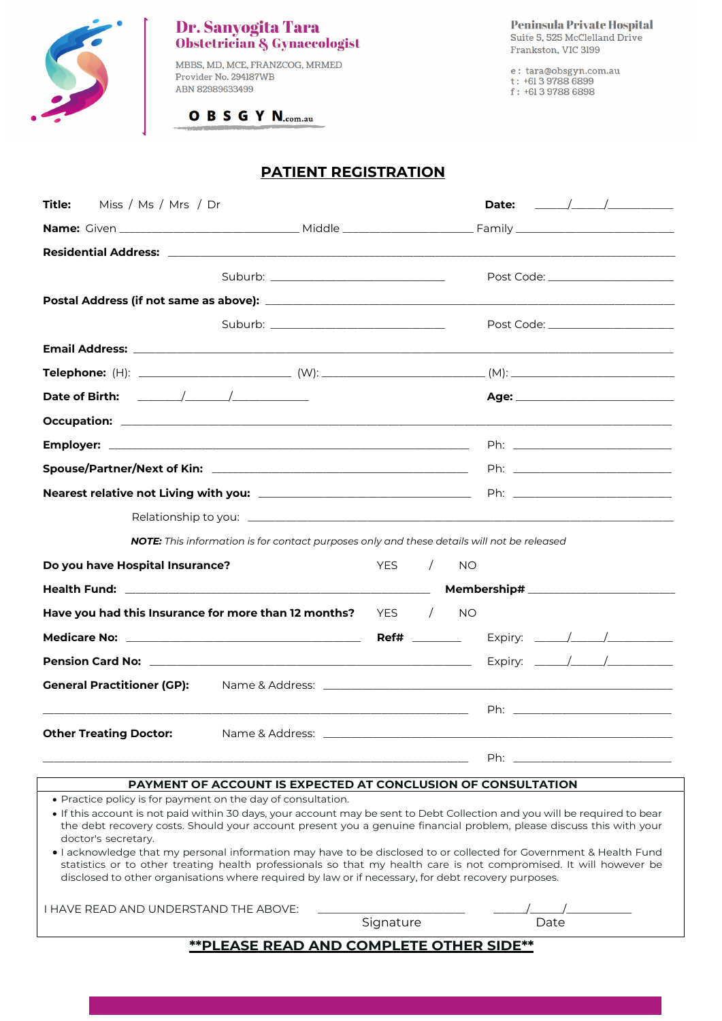

# **Dr. Sanyogita Tara<br>Obstetrician & Gynaecologist**

MBBS, MD, MCE, FRANZCOG, MRMED Provider No. 294187WB ABN 82989633499

OBSGYN.com.au

e : tara@obsgyn.com.au<br>t : +61 3 9788 6899<br>f : +61 3 9788 6898

## **PATIENT REGISTRATION**

| Miss / Ms / Mrs / Dr<br><b>Title:</b>                                                                                                                                                                                                                                                                                                           |           |           | Date: $\frac{\sqrt{1-\frac{1}{2}}}{\sqrt{1-\frac{1}{2}}}}$ |  |  |
|-------------------------------------------------------------------------------------------------------------------------------------------------------------------------------------------------------------------------------------------------------------------------------------------------------------------------------------------------|-----------|-----------|------------------------------------------------------------|--|--|
|                                                                                                                                                                                                                                                                                                                                                 |           |           |                                                            |  |  |
|                                                                                                                                                                                                                                                                                                                                                 |           |           |                                                            |  |  |
| Suburb: __________________________________                                                                                                                                                                                                                                                                                                      |           |           | Post Code: ______________________                          |  |  |
|                                                                                                                                                                                                                                                                                                                                                 |           |           |                                                            |  |  |
|                                                                                                                                                                                                                                                                                                                                                 |           |           | Post Code: _______________________                         |  |  |
| <b>Email Address: Email Address:</b> And Address and Address of Address and Address and Address and Address and Address and Address and Address and Address and Address and Address and Address and Address and Address and Address                                                                                                             |           |           |                                                            |  |  |
|                                                                                                                                                                                                                                                                                                                                                 |           |           |                                                            |  |  |
|                                                                                                                                                                                                                                                                                                                                                 |           |           |                                                            |  |  |
|                                                                                                                                                                                                                                                                                                                                                 |           |           |                                                            |  |  |
|                                                                                                                                                                                                                                                                                                                                                 |           |           |                                                            |  |  |
|                                                                                                                                                                                                                                                                                                                                                 |           |           |                                                            |  |  |
|                                                                                                                                                                                                                                                                                                                                                 |           |           |                                                            |  |  |
|                                                                                                                                                                                                                                                                                                                                                 |           |           |                                                            |  |  |
| NOTE: This information is for contact purposes only and these details will not be released                                                                                                                                                                                                                                                      |           |           |                                                            |  |  |
| Do you have Hospital Insurance?                                                                                                                                                                                                                                                                                                                 | YES /     | <b>NO</b> |                                                            |  |  |
|                                                                                                                                                                                                                                                                                                                                                 |           |           |                                                            |  |  |
| Have you had this Insurance for more than 12 months? $YES$ /                                                                                                                                                                                                                                                                                    |           | <b>NO</b> |                                                            |  |  |
|                                                                                                                                                                                                                                                                                                                                                 |           |           |                                                            |  |  |
|                                                                                                                                                                                                                                                                                                                                                 |           |           |                                                            |  |  |
| <b>General Practitioner (GP):</b>                                                                                                                                                                                                                                                                                                               |           |           |                                                            |  |  |
|                                                                                                                                                                                                                                                                                                                                                 |           |           |                                                            |  |  |
| <b>Other Treating Doctor:</b>                                                                                                                                                                                                                                                                                                                   |           |           |                                                            |  |  |
|                                                                                                                                                                                                                                                                                                                                                 |           |           | Ph:                                                        |  |  |
| PAYMENT OF ACCOUNT IS EXPECTED AT CONCLUSION OF CONSULTATION                                                                                                                                                                                                                                                                                    |           |           |                                                            |  |  |
| • Practice policy is for payment on the day of consultation.                                                                                                                                                                                                                                                                                    |           |           |                                                            |  |  |
| • If this account is not paid within 30 days, your account may be sent to Debt Collection and you will be required to bear<br>the debt recovery costs. Should your account present you a genuine financial problem, please discuss this with your<br>doctor's secretary.                                                                        |           |           |                                                            |  |  |
| . I acknowledge that my personal information may have to be disclosed to or collected for Government & Health Fund<br>statistics or to other treating health professionals so that my health care is not compromised. It will however be<br>disclosed to other organisations where required by law or if necessary, for debt recovery purposes. |           |           |                                                            |  |  |
| I HAVE READ AND UNDERSTAND THE ABOVE:                                                                                                                                                                                                                                                                                                           | Signature |           | Date                                                       |  |  |
| <b>**PLEASE READ AND COMPLETE OTHER SIDE**</b>                                                                                                                                                                                                                                                                                                  |           |           |                                                            |  |  |
|                                                                                                                                                                                                                                                                                                                                                 |           |           |                                                            |  |  |